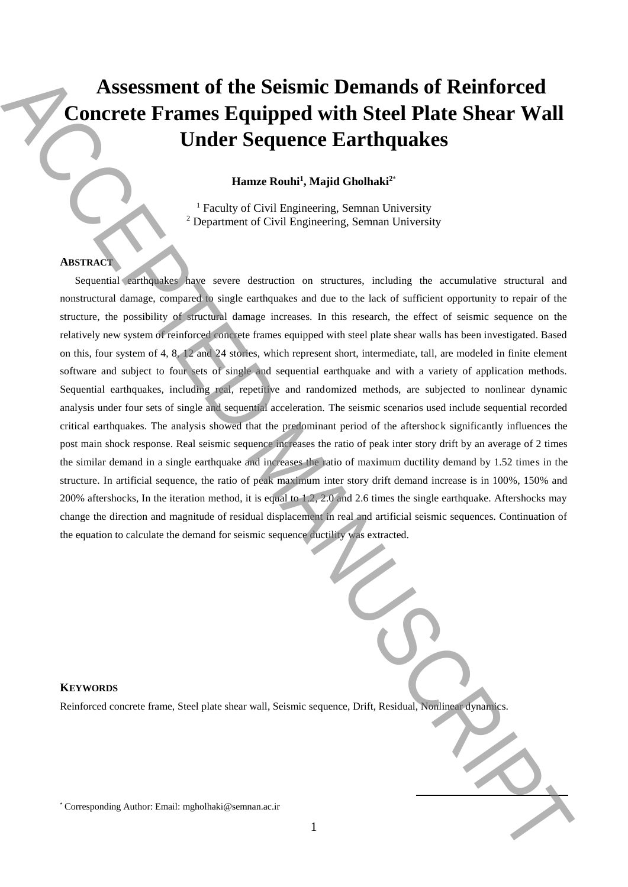# **Assessment of the Seismic Demands of Reinforced Concrete Frames Equipped with Steel Plate Shear Wall Under Sequence Earthquakes**

**Hamze Rouhi<sup>1</sup> , Majid Gholhaki<sup>2</sup>**\*

<sup>1</sup> Faculty of Civil Engineering, Semnan University <sup>2</sup> Department of Civil Engineering, Semnan University

# **ABSTRACT**

Sequential earthquakes have severe destruction on structures, including the accumulative structural and nonstructural damage, compared to single earthquakes and due to the lack of sufficient opportunity to repair of the structure, the possibility of structural damage increases. In this research, the effect of seismic sequence on the relatively new system of reinforced concrete frames equipped with steel plate shear walls has been investigated. Based on this, four system of 4, 8, 12 and 24 stories, which represent short, intermediate, tall, are modeled in finite element software and subject to four sets of single and sequential earthquake and with a variety of application methods. Sequential earthquakes, including real, repetitive and randomized methods, are subjected to nonlinear dynamic analysis under four sets of single and sequential acceleration. The seismic scenarios used include sequential recorded critical earthquakes. The analysis showed that the predominant period of the aftershock significantly influences the post main shock response. Real seismic sequence increases the ratio of peak inter story drift by an average of 2 times the similar demand in a single earthquake and increases the ratio of maximum ductility demand by 1.52 times in the structure. In artificial sequence, the ratio of peak maximum inter story drift demand increase is in 100%, 150% and 200% aftershocks, In the iteration method, it is equal to 1.2, 2.0 and 2.6 times the single earthquake. Aftershocks may change the direction and magnitude of residual displacement in real and artificial seismic sequences. Continuation of the equation to calculate the demand for seismic sequence ductility was extracted. Assessment of the Seismice Demands of Reinforced<br>
Concrete Frames Equipped with Steel Plate Shear Wall<br>
Under Sequence Earthquakes<br>  $\frac{1}{2}$ <br>  $\frac{1}{2}$ <br>  $\frac{1}{2}$ <br>  $\frac{1}{2}$ <br>  $\frac{1}{2}$ <br>  $\frac{1}{2}$ <br>  $\frac{1}{2}$ <br>  $\frac{1}{2}$ <br>

# **KEYWORDS**

Reinforced concrete frame, Steel plate shear wall, Seismic sequence, Drift, Residual, Nonlinear dynamics.

**.**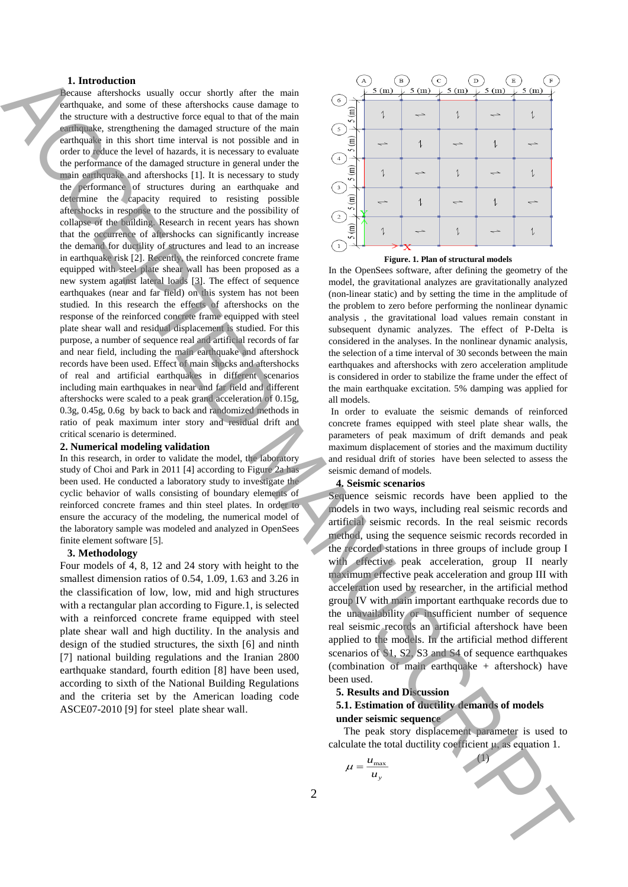### **1. Introduction**

Because aftershocks usually occur shortly after the main earthquake, and some of these aftershocks cause damage to the structure with a destructive force equal to that of the main earthquake, strengthening the damaged structure of the main earthquake in this short time interval is not possible and in order to reduce the level of hazards, it is necessary to evaluate the performance of the damaged structure in general under the main earthquake and aftershocks [1]. It is necessary to study the performance of structures during an earthquake and determine the capacity required to resisting possible aftershocks in response to the structure and the possibility of collapse of the building. Research in recent years has shown that the occurrence of aftershocks can significantly increase the demand for ductility of structures and lead to an increase in earthquake risk [2]. Recently, the reinforced concrete frame equipped with steel plate shear wall has been proposed as a new system against lateral loads [3]. The effect of sequence earthquakes (near and far field) on this system has not been studied. In this research the effects of aftershocks on the response of the reinforced concrete frame equipped with steel plate shear wall and residual displacement is studied. For this purpose, a number of sequence real and artificial records of far and near field, including the main earthquake and aftershock records have been used. Effect of main shocks and aftershocks of real and artificial earthquakes in different scenarios including main earthquakes in near and far field and different aftershocks were scaled to a peak grand acceleration of 0.15g, 0.3g, 0.45g, 0.6g by back to back and randomized methods in ratio of peak maximum inter story and residual drift and critical scenario is determined. For the control of the state of the state of the state of the state of the state of the state of the state of the state of the state of the state of the state of the state of the state of the state of the state of the sta

#### **2. Numerical modeling validation**

In this research, in order to validate the model, the laboratory study of Choi and Park in 2011 [4] according to Figure 2a has been used. He conducted a laboratory study to investigate the cyclic behavior of walls consisting of boundary elements of reinforced concrete frames and thin steel plates. In order to ensure the accuracy of the modeling, the numerical model of the laboratory sample was modeled and analyzed in OpenSees finite element software [5].

#### **3. Methodology**

Four models of 4, 8, 12 and 24 story with height to the smallest dimension ratios of 0.54, 1.09, 1.63 and 3.26 in the classification of low, low, mid and high structures with a rectangular plan according to Figure.1, is selected with a reinforced concrete frame equipped with steel plate shear wall and high ductility. In the analysis and design of the studied structures, the sixth [6] and ninth [7] national building regulations and the Iranian 2800 earthquake standard, fourth edition [8] have been used, according to sixth of the National Building Regulations and the criteria set by the American loading code ASCE07-2010 [9] for steel plate shear wall.





In the OpenSees software, after defining the geometry of the model, the gravitational analyzes are gravitationally analyzed (non-linear static) and by setting the time in the amplitude of the problem to zero before performing the nonlinear dynamic analysis , the gravitational load values remain constant in subsequent dynamic analyzes. The effect of P-Delta is considered in the analyses. In the nonlinear dynamic analysis, the selection of a time interval of 30 seconds between the main earthquakes and aftershocks with zero acceleration amplitude is considered in order to stabilize the frame under the effect of the main earthquake excitation. 5% damping was applied for all models.

In order to evaluate the seismic demands of reinforced concrete frames equipped with steel plate shear walls, the parameters of peak maximum of drift demands and peak maximum displacement of stories and the maximum ductility and residual drift of stories have been selected to assess the seismic demand of models.

## **4. Seismic scenarios**

Sequence seismic records have been applied to the models in two ways, including real seismic records and artificial seismic records. In the real seismic records method, using the sequence seismic records recorded in the recorded stations in three groups of include group I with effective peak acceleration, group II nearly maximum effective peak acceleration and group III with acceleration used by researcher, in the artificial method group IV with main important earthquake records due to the unavailability or insufficient number of sequence real seismic records an artificial aftershock have been applied to the models. In the artificial method different scenarios of S1, S2, S3 and S4 of sequence earthquakes (combination of main earthquake + aftershock) have been used.

#### **5. Results and Discussion**

### **5.1. Estimation of ductility demands of models under seismic sequence**

The peak story displacement parameter is used to calculate the total ductility coefficient μ, as equation 1.

(1)

$$
\mu = \frac{u_{\text{max}}}{u_y}
$$